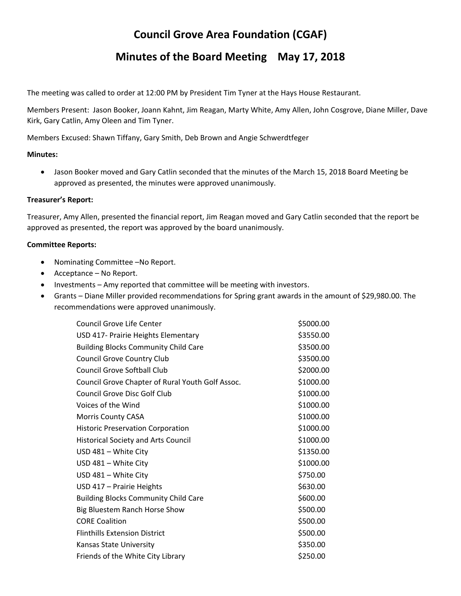# **Council Grove Area Foundation (CGAF)**

## **Minutes of the Board Meeting May 17, 2018**

The meeting was called to order at 12:00 PM by President Tim Tyner at the Hays House Restaurant.

Members Present: Jason Booker, Joann Kahnt, Jim Reagan, Marty White, Amy Allen, John Cosgrove, Diane Miller, Dave Kirk, Gary Catlin, Amy Oleen and Tim Tyner.

Members Excused: Shawn Tiffany, Gary Smith, Deb Brown and Angie Schwerdtfeger

## **Minutes:**

 Jason Booker moved and Gary Catlin seconded that the minutes of the March 15, 2018 Board Meeting be approved as presented, the minutes were approved unanimously.

## **Treasurer's Report:**

Treasurer, Amy Allen, presented the financial report, Jim Reagan moved and Gary Catlin seconded that the report be approved as presented, the report was approved by the board unanimously.

#### **Committee Reports:**

- Nominating Committee –No Report.
- Acceptance No Report.
- Investments Amy reported that committee will be meeting with investors.
- Grants Diane Miller provided recommendations for Spring grant awards in the amount of \$29,980.00. The recommendations were approved unanimously.

| Council Grove Life Center                        | \$5000.00 |
|--------------------------------------------------|-----------|
| USD 417- Prairie Heights Elementary              | \$3550.00 |
| <b>Building Blocks Community Child Care</b>      | \$3500.00 |
| <b>Council Grove Country Club</b>                | \$3500.00 |
| <b>Council Grove Softball Club</b>               | \$2000.00 |
| Council Grove Chapter of Rural Youth Golf Assoc. | \$1000.00 |
| <b>Council Grove Disc Golf Club</b>              | \$1000.00 |
| Voices of the Wind                               | \$1000.00 |
| Morris County CASA                               | \$1000.00 |
| <b>Historic Preservation Corporation</b>         | \$1000.00 |
| <b>Historical Society and Arts Council</b>       | \$1000.00 |
| USD 481 - White City                             | \$1350.00 |
| USD 481 - White City                             | \$1000.00 |
| USD 481 - White City                             | \$750.00  |
| USD 417 - Prairie Heights                        | \$630.00  |
| <b>Building Blocks Community Child Care</b>      | \$600.00  |
| Big Bluestem Ranch Horse Show                    | \$500.00  |
| <b>CORE Coalition</b>                            | \$500.00  |
| <b>Flinthills Extension District</b>             | \$500.00  |
| Kansas State University                          | \$350.00  |
| Friends of the White City Library                | \$250.00  |